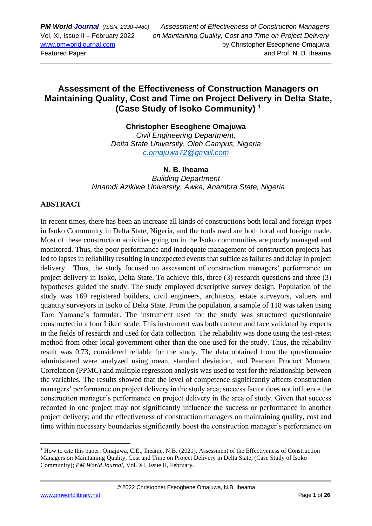# **Assessment of the Effectiveness of Construction Managers on Maintaining Quality, Cost and Time on Project Delivery in Delta State, (Case Study of Isoko Community) <sup>1</sup>**

**Christopher Eseoghene Omajuwa** *Civil Engineering Department, Delta State University, Oleh Campus, Nigeria [c.omajuwa72@gmail.com](mailto:c.omajuwa72@gmail.com)*

### **N. B. Iheama**

*Building Department Nnamdi Azikiwe University, Awka, Anambra State, Nigeria*

### **ABSTRACT**

In recent times, there has been an increase all kinds of constructions both local and foreign types in Isoko Community in Delta State, Nigeria, and the tools used are both local and foreign made. Most of these construction activities going on in the Isoko communities are poorly managed and monitored. Thus, the poor performance and inadequate management of construction projects has led to lapses in reliability resulting in unexpected events that suffice as failures and delay in project delivery. Thus, the study focused on assessment of construction managers' performance on project delivery in Isoko, Delta State. To achieve this, three (3) research questions and three (3) hypotheses guided the study. The study employed descriptive survey design. Population of the study was 169 registered builders, civil engineers, architects, estate surveyors, valuers and quantity surveyors in Isoko of Delta State. From the population, a sample of 118 was taken using Taro Yamane's formular. The instrument used for the study was structured questionnaire constructed in a four Likert scale. This instrument was both content and face validated by experts in the fields of research and used for data collection. The reliability was done using the test-retest method from other local government other than the one used for the study. Thus, the reliability result was 0.73, considered reliable for the study. The data obtained from the questionnaire administered were analyzed using mean, standard deviation, and Pearson Product Moment Correlation (PPMC) and multiple regression analysis was used to test for the relationship between the variables. The results showed that the level of competence significantly affects construction managers' performance on project delivery in the study area; success factor does not influence the construction manager's performance on project delivery in the area of study. Given that success recorded in one project may not significantly influence the success or performance in another project delivery; and the effectiveness of construction managers on maintaining quality, cost and time within necessary boundaries significantly boost the construction manager's performance on

<sup>1</sup> How to cite this paper: Omajuwa, C.E., Iheame, N.B. (2021). Assessment of the Effectiveness of Construction Managers on Maintaining Quality, Cost and Time on Project Delivery in Delta State, (Case Study of Isoko Community); *PM World Journal*, Vol. XI, Issue II, February.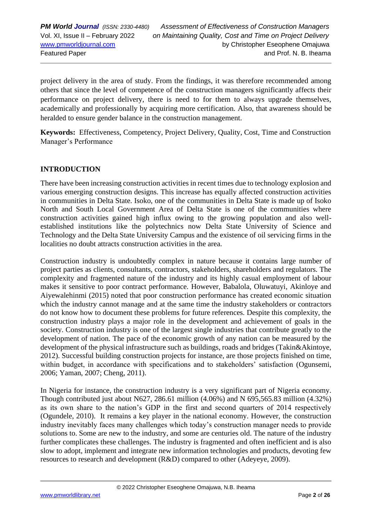project delivery in the area of study. From the findings, it was therefore recommended among others that since the level of competence of the construction managers significantly affects their performance on project delivery, there is need to for them to always upgrade themselves, academically and professionally by acquiring more certification. Also, that awareness should be heralded to ensure gender balance in the construction management.

**Keywords:** Effectiveness, Competency, Project Delivery, Quality, Cost, Time and Construction Manager's Performance

### **INTRODUCTION**

There have been increasing construction activities in recent times due to technology explosion and various emerging construction designs. This increase has equally affected construction activities in communities in Delta State. Isoko, one of the communities in Delta State is made up of Isoko North and South Local Government Area of Delta State is one of the communities where construction activities gained high influx owing to the growing population and also wellestablished institutions like the polytechnics now Delta State University of Science and Technology and the Delta State University Campus and the existence of oil servicing firms in the localities no doubt attracts construction activities in the area.

Construction industry is undoubtedly complex in nature because it contains large number of project parties as clients, consultants, contractors, stakeholders, shareholders and regulators. The complexity and fragmented nature of the industry and its highly casual employment of labour makes it sensitive to poor contract performance. However, Babalola, Oluwatuyi, Akinloye and Aiyewalehinmi (2015) noted that poor construction performance has created economic situation which the industry cannot manage and at the same time the industry stakeholders or contractors do not know how to document these problems for future references. Despite this complexity, the construction industry plays a major role in the development and achievement of goals in the society. Construction industry is one of the largest single industries that contribute greatly to the development of nation. The pace of the economic growth of any nation can be measured by the development of the physical infrastructure such as buildings, roads and bridges (Takin&Akintoye, 2012). Successful building construction projects for instance, are those projects finished on time, within budget, in accordance with specifications and to stakeholders' satisfaction (Ogunsemi, 2006; Yaman, 2007; Cheng, 2011).

In Nigeria for instance, the construction industry is a very significant part of Nigeria economy. Though contributed just about N627, 286.61 million (4.06%) and N 695,565.83 million (4.32%) as its own share to the nation's GDP in the first and second quarters of 2014 respectively (Ogundele, 2010). It remains a key player in the national economy. However, the construction industry inevitably faces many challenges which today's construction manager needs to provide solutions to. Some are new to the industry, and some are centuries old. The nature of the industry further complicates these challenges. The industry is fragmented and often inefficient and is also slow to adopt, implement and integrate new information technologies and products, devoting few resources to research and development (R&D) compared to other (Adeyeye, 2009).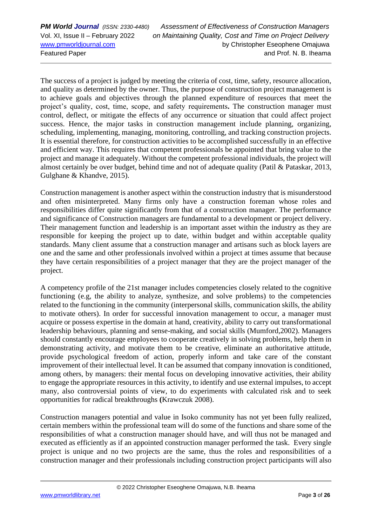The success of a project is judged by meeting the criteria of cost, time, safety, resource allocation, and quality as determined by the owner. Thus, the purpose of construction project management is to achieve goals and objectives through the planned expenditure of resources that meet the project's quality, cost, time, scope, and safety requirements**.** The construction manager must control, deflect, or mitigate the effects of any occurrence or situation that could affect project success. Hence, the major tasks in construction management include planning, organizing, scheduling, implementing, managing, monitoring, controlling, and tracking construction projects. It is essential therefore, for construction activities to be accomplished successfully in an effective and efficient way. This requires that competent professionals be appointed that bring value to the project and manage it adequately. Without the competent professional individuals, the project will almost certainly be over budget, behind time and not of adequate quality (Patil & Pataskar, 2013, Gulghane & Khandve, 2015).

Construction management is another aspect within the construction industry that is misunderstood and often misinterpreted. Many firms only have a construction foreman whose roles and responsibilities differ quite significantly from that of a construction manager. The performance and significance of Construction managers are fundamental to a development or project delivery. Their management function and leadership is an important asset within the industry as they are responsible for keeping the project up to date, within budget and within acceptable quality standards. Many client assume that a construction manager and artisans such as block layers are one and the same and other professionals involved within a project at times assume that because they have certain responsibilities of a project manager that they are the project manager of the project.

A competency profile of the 21st manager includes competencies closely related to the cognitive functioning (e.g, the ability to analyze, synthesize, and solve problems) to the competencies related to the functioning in the community (interpersonal skills, communication skills, the ability to motivate others). In order for successful innovation management to occur, a manager must acquire or possess expertise in the domain at hand, creativity, ability to carry out transformational leadership behaviours, planning and sense-making, and social skills (Mumford,2002). Managers should constantly encourage employees to cooperate creatively in solving problems, help them in demonstrating activity, and motivate them to be creative, eliminate an authoritative attitude, provide psychological freedom of action, properly inform and take care of the constant improvement of their intellectual level. It can be assumed that company innovation is conditioned, among others, by managers: their mental focus on developing innovative activities, their ability to engage the appropriate resources in this activity, to identify and use external impulses, to accept many, also controversial points of view, to do experiments with calculated risk and to seek opportunities for radical breakthroughs **(**Krawczuk 2008).

Construction managers potential and value in Isoko community has not yet been fully realized, certain members within the professional team will do some of the functions and share some of the responsibilities of what a construction manager should have, and will thus not be managed and executed as efficiently as if an appointed construction manager performed the task. Every single project is unique and no two projects are the same, thus the roles and responsibilities of a construction manager and their professionals including construction project participants will also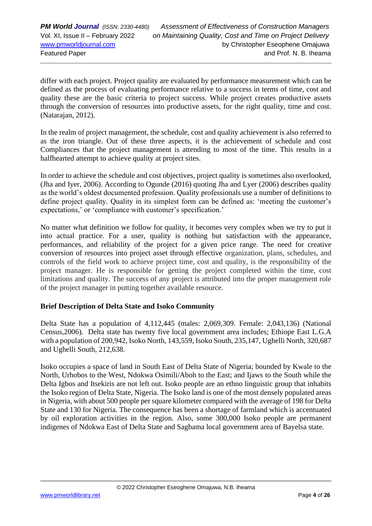differ with each project. Project quality are evaluated by performance measurement which can be defined as the process of evaluating performance relative to a success in terms of time, cost and quality these are the basic criteria to project success. While project creates productive assets through the conversion of resources into productive assets, for the right quality, time and cost. (Natarajan, 2012).

In the realm of project management, the schedule, cost and quality achievement is also referred to as the iron triangle. Out of these three aspects, it is the achievement of schedule and cost Compliances that the project management is attending to most of the time. This results in a halfhearted attempt to achieve quality at project sites.

In order to achieve the schedule and cost objectives, project quality is sometimes also overlooked, (Jha and Iyer, 2006). According to Ogunde (2016) quoting Jha and Lyer (2006) describes quality as the world's oldest documented profession. Quality professionals use a number of definitions to define project quality. Quality in its simplest form can be defined as: 'meeting the customer's expectations,' or 'compliance with customer's specification.'

No matter what definition we follow for quality, it becomes very complex when we try to put it into actual practice. For a user, quality is nothing but satisfaction with the appearance, performances, and reliability of the project for a given price range. The need for creative conversion of resources into project asset through effective organization, plans, schedules, and controls of the field work to achieve project time, cost and quality, is the responsibility of the project manager. He is responsible for getting the project completed within the time, cost limitations and quality. The success of any project is attributed into the proper management role of the project manager in putting together available resource.

### **Brief Description of Delta State and Isoko Community**

Delta State has a population of 4,112,445 (males: 2,069,309. Female: 2,043,136) (National Census,2006). Delta state has twenty five local government area includes; Ethiope East L.G.A with a population of 200,942, Isoko North, 143,559, Isoko South, 235,147, Ughelli North, 320,687 and Ughelli South, 212,638.

Isoko occupies a space of land in South East of Delta State of Nigeria; bounded by Kwale to the North, Urhobos to the West, Ndokwa Osimili/Aboh to the East; and Ijaws to the South while the Delta Igbos and Itsekiris are not left out. Isoko people are an ethno linguistic group that inhabits the Isoko region of Delta State, Nigeria. The Isoko land is one of the most densely populated areas in Nigeria, with about 500 people per square kilometer compared with the average of 198 for Delta State and 130 for Nigeria. The consequence has been a shortage of farmland which is accentuated by oil exploration activities in the region. Also, some 300,000 Isoko people are permanent indigenes of Ndokwa East of Delta State and Sagbama local government area of Bayelsa state.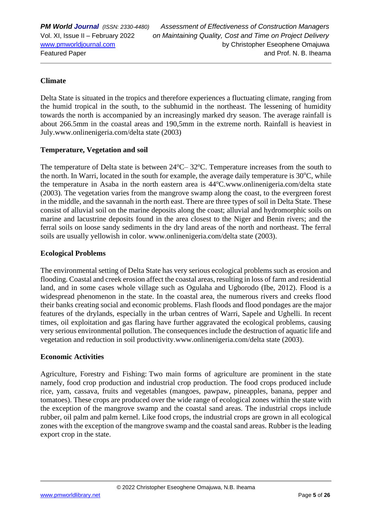### **Climate**

Delta State is situated in the tropics and therefore experiences a fluctuating climate, ranging from the humid tropical in the south, to the subhumid in the northeast. The lessening of humidity towards the north is accompanied by an increasingly marked dry season. The average rainfall is about 266.5mm in the coastal areas and 190,5mm in the extreme north. Rainfall is heaviest in July.www.onlinenigeria.com/delta state (2003)

### **Temperature, Vegetation and soil**

The temperature of Delta state is between  $24^{\circ}$ C–  $32^{\circ}$ C. Temperature increases from the south to the north. In Warri, located in the south for example, the average daily temperature is  $30^{\circ}$ C, while the temperature in Asaba in the north eastern area is  $44^{\circ}$ C.www.onlinenigeria.com/delta state (2003). The vegetation varies from the mangrove swamp along the coast, to the evergreen forest in the middle, and the savannah in the north east. There are three types of soil in Delta State. These consist of alluvial soil on the marine deposits along the coast; alluvial and hydromorphic soils on marine and lacustrine deposits found in the area closest to the Niger and Benin rivers; and the ferral soils on loose sandy sediments in the dry land areas of the north and northeast. The ferral soils are usually yellowish in color. www.onlinenigeria.com/delta state (2003).

### **Ecological Problems**

The environmental setting of Delta State has very serious ecological problems such as erosion and flooding. Coastal and creek erosion affect the coastal areas, resulting in loss of farm and residential land, and in some cases whole village such as Ogulaha and Ugborodo (Ibe, 2012). Flood is a widespread phenomenon in the state. In the coastal area, the numerous rivers and creeks flood their banks creating social and economic problems. Flash floods and flood pondages are the major features of the drylands, especially in the urban centres of Warri, Sapele and Ughelli. In recent times, oil exploitation and gas flaring have further aggravated the ecological problems, causing very serious environmental pollution. The consequences include the destruction of aquatic life and vegetation and reduction in soil productivity.www.onlinenigeria.com/delta state (2003).

### **Economic Activities**

Agriculture, Forestry and Fishing: Two main forms of agriculture are prominent in the state namely, food crop production and industrial crop production. The food crops produced include rice, yam, cassava, fruits and vegetables (mangoes, pawpaw, pineapples, banana, pepper and tomatoes). These crops are produced over the wide range of ecological zones within the state with the exception of the mangrove swamp and the coastal sand areas. The industrial crops include rubber, oil palm and palm kernel. Like food crops, the industrial crops are grown in all ecological zones with the exception of the mangrove swamp and the coastal sand areas. Rubber is the leading export crop in the state.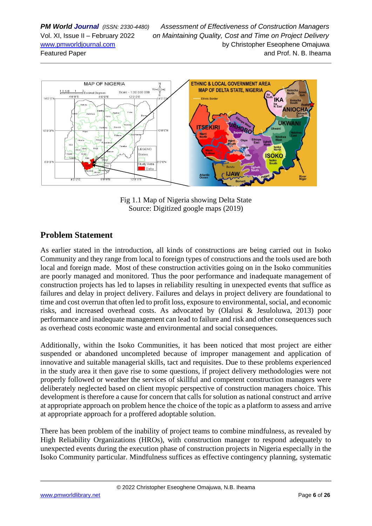

Fig 1.1 Map of Nigeria showing Delta State Source: Digitized google maps (2019)

## **Problem Statement**

As earlier stated in the introduction, all kinds of constructions are being carried out in Isoko Community and they range from local to foreign types of constructions and the tools used are both local and foreign made. Most of these construction activities going on in the Isoko communities are poorly managed and monitored. Thus the poor performance and inadequate management of construction projects has led to lapses in reliability resulting in unexpected events that suffice as failures and delay in project delivery. Failures and delays in project delivery are foundational to time and cost overrun that often led to profit loss, exposure to environmental, social, and economic risks, and increased overhead costs. As advocated by (Olalusi & Jesuloluwa, 2013) poor performance and inadequate management can lead to failure and risk and other consequences such as overhead costs economic waste and environmental and social consequences.

Additionally, within the Isoko Communities, it has been noticed that most project are either suspended or abandoned uncompleted because of improper management and application of innovative and suitable managerial skills, tact and requisites. Due to these problems experienced in the study area it then gave rise to some questions, if project delivery methodologies were not properly followed or weather the services of skillful and competent construction managers were deliberately neglected based on client myopic perspective of construction managers choice. This development is therefore a cause for concern that calls for solution as national construct and arrive at appropriate approach on problem hence the choice of the topic as a platform to assess and arrive at appropriate approach for a proffered adoptable solution.

There has been problem of the inability of project teams to combine mindfulness, as revealed by High Reliability Organizations (HROs), with construction manager to respond adequately to unexpected events during the execution phase of construction projects in Nigeria especially in the Isoko Community particular. Mindfulness suffices as effective contingency planning, systematic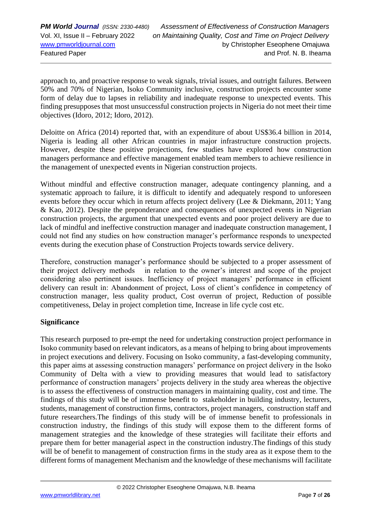approach to, and proactive response to weak signals, trivial issues, and outright failures. Between 50% and 70% of Nigerian, Isoko Community inclusive, construction projects encounter some form of delay due to lapses in reliability and inadequate response to unexpected events. This finding presupposes that most unsuccessful construction projects in Nigeria do not meet their time objectives (Idoro, 2012; Idoro, 2012).

Deloitte on Africa (2014) reported that, with an expenditure of about US\$36.4 billion in 2014, Nigeria is leading all other African countries in major infrastructure construction projects. However, despite these positive projections, few studies have explored how construction managers performance and effective management enabled team members to achieve resilience in the management of unexpected events in Nigerian construction projects.

Without mindful and effective construction manager, adequate contingency planning, and a systematic approach to failure, it is difficult to identify and adequately respond to unforeseen events before they occur which in return affects project delivery (Lee & Diekmann, 2011; Yang & Kao, 2012). Despite the preponderance and consequences of unexpected events in Nigerian construction projects, the argument that unexpected events and poor project delivery are due to lack of mindful and ineffective construction manager and inadequate construction management, I could not find any studies on how construction manager's performance responds to unexpected events during the execution phase of Construction Projects towards service delivery.

Therefore, construction manager's performance should be subjected to a proper assessment of their project delivery methods in relation to the owner's interest and scope of the project considering also pertinent issues. Inefficiency of project managers' performance in efficient delivery can result in: Abandonment of project, Loss of client's confidence in competency of construction manager, less quality product, Cost overrun of project, Reduction of possible competitiveness, Delay in project completion time, Increase in life cycle cost etc.

### **Significance**

This research purposed to pre-empt the need for undertaking construction project performance in Isoko community based on relevant indicators, as a means of helping to bring about improvements in project executions and delivery. Focusing on Isoko community, a fast-developing community, this paper aims at assessing construction managers' performance on project delivery in the Isoko Community of Delta with a view to providing measures that would lead to satisfactory performance of construction managers' projects delivery in the study area whereas the objective is to assess the effectiveness of construction managers in maintaining quality, cost and time. The findings of this study will be of immense benefit to stakeholder in building industry, lecturers, students, management of construction firms, contractors, project managers, construction staff and future researchers.The findings of this study will be of immense benefit to professionals in construction industry, the findings of this study will expose them to the different forms of management strategies and the knowledge of these strategies will facilitate their efforts and prepare them for better managerial aspect in the construction industry.The findings of this study will be of benefit to management of construction firms in the study area as it expose them to the different forms of management Mechanism and the knowledge of these mechanisms will facilitate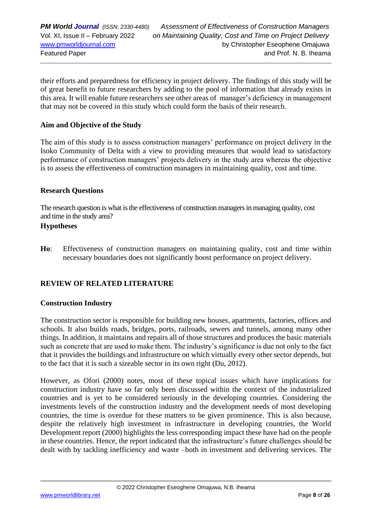their efforts and preparedness for efficiency in project delivery. The findings of this study will be of great benefit to future researchers by adding to the pool of information that already exists in this area. It will enable future researchers see other areas of manager's deficiency in management that may not be covered in this study which could form the basis of their research.

### **Aim and Objective of the Study**

The aim of this study is to assess construction managers' performance on project delivery in the Isoko Community of Delta with a view to providing measures that would lead to satisfactory performance of construction managers' projects delivery in the study area whereas the objective is to assess the effectiveness of construction managers in maintaining quality, cost and time.

#### **Research Questions**

The research question is what is the effectiveness of construction managers in managing quality, cost and time in the study area?

#### **Hypotheses**

**Ho**: Effectiveness of construction managers on maintaining quality, cost and time within necessary boundaries does not significantly boost performance on project delivery.

### **REVIEW OF RELATED LITERATURE**

#### **Construction Industry**

The construction sector is responsible for building new houses, apartments, factories, offices and schools. It also builds roads, bridges, ports, railroads, sewers and tunnels, among many other things. In addition, it maintains and repairs all of those structures and produces the basic materials such as concrete that are used to make them. The industry's significance is due not only to the fact that it provides the buildings and infrastructure on which virtually every other sector depends, but to the fact that it is such a sizeable sector in its own right (Du, 2012).

However, as Ofori (2000) notes, most of these topical issues which have implications for construction industry have so far only been discussed within the context of the industrialized countries and is yet to be considered seriously in the developing countries. Considering the investments levels of the construction industry and the development needs of most developing countries, the time is overdue for these matters to be given prominence. This is also because, despite the relatively high investment in infrastructure in developing countries, the World Development report (2000) highlights the less corresponding impact these have had on the people in these countries. Hence, the report indicated that the infrastructure's future challenges should be dealt with by tackling inefficiency and waste –both in investment and delivering services. The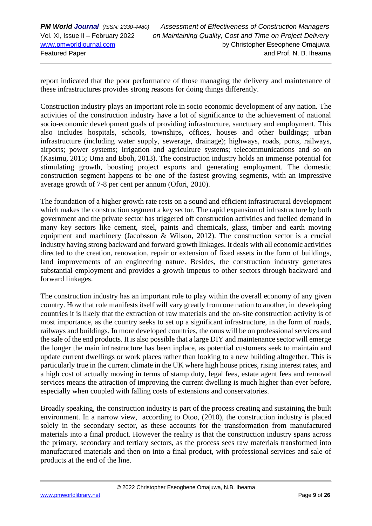report indicated that the poor performance of those managing the delivery and maintenance of these infrastructures provides strong reasons for doing things differently.

Construction industry plays an important role in socio economic development of any nation. The activities of the construction industry have a lot of significance to the achievement of national socio-economic development goals of providing infrastructure, sanctuary and employment. This also includes hospitals, schools, townships, offices, houses and other buildings; urban infrastructure (including water supply, sewerage, drainage); highways, roads, ports, railways, airports; power systems; irrigation and agriculture systems; telecommunications and so on (Kasimu, 2015; Uma and Eboh, 2013). The construction industry holds an immense potential for stimulating growth, boosting project exports and generating employment. The domestic construction segment happens to be one of the fastest growing segments, with an impressive average growth of 7-8 per cent per annum (Ofori, 2010).

The foundation of a higher growth rate rests on a sound and efficient infrastructural development which makes the construction segment a key sector. The rapid expansion of infrastructure by both government and the private sector has triggered off construction activities and fuelled demand in many key sectors like cement, steel, paints and chemicals, glass, timber and earth moving equipment and machinery (Jacobsson & Wilson, 2012). The construction sector is a crucial industry having strong backward and forward growth linkages. It deals with all economic activities directed to the creation, renovation, repair or extension of fixed assets in the form of buildings, land improvements of an engineering nature. Besides, the construction industry generates substantial employment and provides a growth impetus to other sectors through backward and forward linkages.

The construction industry has an important role to play within the overall economy of any given country. How that role manifests itself will vary greatly from one nation to another, in developing countries it is likely that the extraction of raw materials and the on-site construction activity is of most importance, as the country seeks to set up a significant infrastructure, in the form of roads, railways and buildings. In more developed countries, the onus will be on professional services and the sale of the end products. It is also possible that a large DIY and maintenance sector will emerge the longer the main infrastructure has been inplace, as potential customers seek to maintain and update current dwellings or work places rather than looking to a new building altogether. This is particularly true in the current climate in the UK where high house prices, rising interest rates, and a high cost of actually moving in terms of stamp duty, legal fees, estate agent fees and removal services means the attraction of improving the current dwelling is much higher than ever before, especially when coupled with falling costs of extensions and conservatories.

Broadly speaking, the construction industry is part of the process creating and sustaining the built environment. In a narrow view, according to Otoo, (2010), the construction industry is placed solely in the secondary sector, as these accounts for the transformation from manufactured materials into a final product. However the reality is that the construction industry spans across the primary, secondary and tertiary sectors, as the process sees raw materials transformed into manufactured materials and then on into a final product, with professional services and sale of products at the end of the line.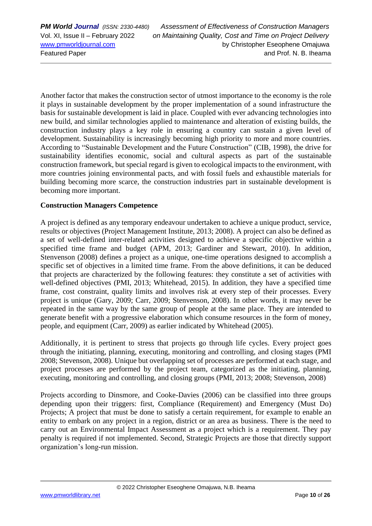*PM World Journal (ISSN: 2330-4480) Assessment of Effectiveness of Construction Managers* Vol. XI, Issue II – February 2022 *on Maintaining Quality, Cost and Time on Project Delivery* [www.pmworldjournal.com](http://www.pmworldjournal.com/) by Christopher Eseophene Omajuwa Featured Paper and Prof. N. B. Iheama

Another factor that makes the construction sector of utmost importance to the economy is the role it plays in sustainable development by the proper implementation of a sound infrastructure the basis for sustainable development is laid in place. Coupled with ever advancing technologies into new build, and similar technologies applied to maintenance and alteration of existing builds, the construction industry plays a key role in ensuring a country can sustain a given level of development. Sustainability is increasingly becoming high priority to more and more countries. According to "Sustainable Development and the Future Construction" (CIB, 1998), the drive for sustainability identifies economic, social and cultural aspects as part of the sustainable construction framework, but special regard is given to ecological impacts to the environment, with more countries joining environmental pacts, and with fossil fuels and exhaustible materials for building becoming more scarce, the construction industries part in sustainable development is becoming more important.

### **Construction Managers Competence**

A project is defined as any temporary endeavour undertaken to achieve a unique product, service, results or objectives (Project Management Institute, 2013; 2008). A project can also be defined as a set of well-defined inter-related activities designed to achieve a specific objective within a specified time frame and budget (APM, 2013; Gardiner and Stewart, 2010). In addition, Stenvenson (2008) defines a project as a unique, one-time operations designed to accomplish a specific set of objectives in a limited time frame. From the above definitions, it can be deduced that projects are characterized by the following features: they constitute a set of activities with well-defined objectives (PMI, 2013; Whitehead, 2015). In addition, they have a specified time frame, cost constraint, quality limits and involves risk at every step of their processes. Every project is unique (Gary, 2009; Carr, 2009; Stenvenson, 2008). In other words, it may never be repeated in the same way by the same group of people at the same place. They are intended to generate benefit with a progressive elaboration which consume resources in the form of money, people, and equipment (Carr, 2009) as earlier indicated by Whitehead (2005).

Additionally, it is pertinent to stress that projects go through life cycles. Every project goes through the initiating, planning, executing, monitoring and controlling, and closing stages (PMI 2008; Stevenson, 2008). Unique but overlapping set of processes are performed at each stage, and project processes are performed by the project team, categorized as the initiating, planning, executing, monitoring and controlling, and closing groups (PMI, 2013; 2008; Stevenson, 2008)

Projects according to Dinsmore, and Cooke-Davies (2006) can be classified into three groups depending upon their triggers: first, Compliance (Requirement) and Emergency (Must Do) Projects; A project that must be done to satisfy a certain requirement, for example to enable an entity to embark on any project in a region, district or an area as business. There is the need to carry out an Environmental Impact Assessment as a project which is a requirement. They pay penalty is required if not implemented. Second, Strategic Projects are those that directly support organization's long-run mission.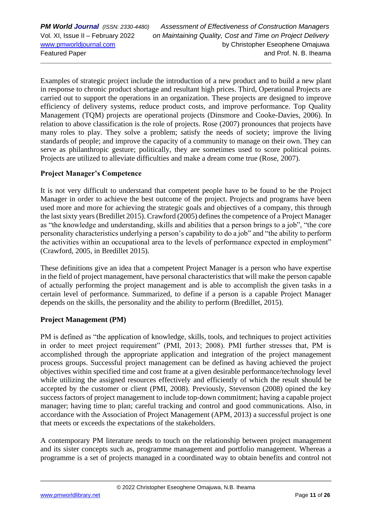Examples of strategic project include the introduction of a new product and to build a new plant in response to chronic product shortage and resultant high prices. Third, Operational Projects are carried out to support the operations in an organization. These projects are designed to improve efficiency of delivery systems, reduce product costs, and improve performance. Top Quality Management (TQM) projects are operational projects (Dinsmore and Cooke-Davies, 2006). In relation to above classification is the role of projects. Rose (2007) pronounces that projects have many roles to play. They solve a problem; satisfy the needs of society; improve the living standards of people; and improve the capacity of a community to manage on their own. They can serve as philanthropic gesture; politically, they are sometimes used to score political points. Projects are utilized to alleviate difficulties and make a dream come true (Rose, 2007).

### **Project Manager's Competence**

It is not very difficult to understand that competent people have to be found to be the Project Manager in order to achieve the best outcome of the project. Projects and programs have been used more and more for achieving the strategic goals and objectives of a company, this through the last sixty years (Bredillet 2015). Crawford (2005) defines the competence of a Project Manager as "the knowledge and understanding, skills and abilities that a person brings to a job", "the core personality characteristics underlying a person's capability to do a job" and "the ability to perform the activities within an occupational area to the levels of performance expected in employment" (Crawford, 2005, in Bredillet 2015).

These definitions give an idea that a competent Project Manager is a person who have expertise in the field of project management, have personal characteristics that will make the person capable of actually performing the project management and is able to accomplish the given tasks in a certain level of performance. Summarized, to define if a person is a capable Project Manager depends on the skills, the personality and the ability to perform (Bredillet, 2015).

### **Project Management (PM)**

PM is defined as "the application of knowledge, skills, tools, and techniques to project activities in order to meet project requirement" (PMI, 2013; 2008). PMI further stresses that, PM is accomplished through the appropriate application and integration of the project management process groups. Successful project management can be defined as having achieved the project objectives within specified time and cost frame at a given desirable performance/technology level while utilizing the assigned resources effectively and efficiently of which the result should be accepted by the customer or client (PMI, 2008). Previously, Stevenson (2008) opined the key success factors of project management to include top-down commitment; having a capable project manager; having time to plan; careful tracking and control and good communications. Also, in accordance with the Association of Project Management (APM, 2013) a successful project is one that meets or exceeds the expectations of the stakeholders.

A contemporary PM literature needs to touch on the relationship between project management and its sister concepts such as, programme management and portfolio management. Whereas a programme is a set of projects managed in a coordinated way to obtain benefits and control not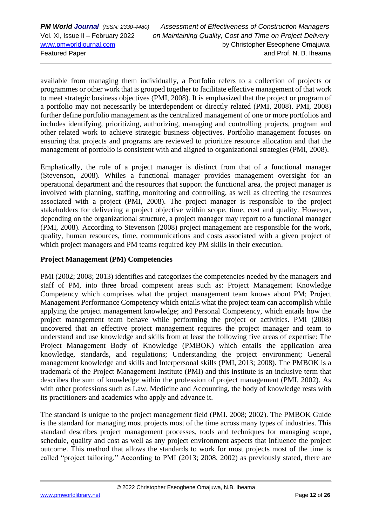*PM World Journal (ISSN: 2330-4480) Assessment of Effectiveness of Construction Managers* Vol. XI, Issue II – February 2022 *on Maintaining Quality, Cost and Time on Project Delivery* [www.pmworldjournal.com](http://www.pmworldjournal.com/) by Christopher Eseophene Omajuwa Featured Paper and Prof. N. B. Iheama

available from managing them individually, a Portfolio refers to a collection of projects or programmes or other work that is grouped together to facilitate effective management of that work to meet strategic business objectives (PMI, 2008). It is emphasized that the project or program of a portfolio may not necessarily be interdependent or directly related (PMI, 2008). PMI, 2008) further define portfolio management as the centralized management of one or more portfolios and includes identifying, prioritizing, authorizing, managing and controlling projects, program and other related work to achieve strategic business objectives. Portfolio management focuses on ensuring that projects and programs are reviewed to prioritize resource allocation and that the management of portfolio is consistent with and aligned to organizational strategies (PMI, 2008).

Emphatically, the role of a project manager is distinct from that of a functional manager (Stevenson, 2008). Whiles a functional manager provides management oversight for an operational department and the resources that support the functional area, the project manager is involved with planning, staffing, monitoring and controlling, as well as directing the resources associated with a project (PMI, 2008). The project manager is responsible to the project stakeholders for delivering a project objective within scope, time, cost and quality. However, depending on the organizational structure, a project manager may report to a functional manager (PMI, 2008). According to Stevenson (2008) project management are responsible for the work, quality, human resources, time, communications and costs associated with a given project of which project managers and PM teams required key PM skills in their execution.

### **Project Management (PM) Competencies**

PMI (2002; 2008; 2013) identifies and categorizes the competencies needed by the managers and staff of PM, into three broad competent areas such as: Project Management Knowledge Competency which comprises what the project management team knows about PM; Project Management Performance Competency which entails what the project team can accomplish while applying the project management knowledge; and Personal Competency, which entails how the project management team behave while performing the project or activities. PMI (2008) uncovered that an effective project management requires the project manager and team to understand and use knowledge and skills from at least the following five areas of expertise: The Project Management Body of Knowledge (PMBOK) which entails the application area knowledge, standards, and regulations; Understanding the project environment; General management knowledge and skills and Interpersonal skills (PMI, 2013; 2008). The PMBOK is a trademark of the Project Management Institute (PMI) and this institute is an inclusive term that describes the sum of knowledge within the profession of project management (PMI. 2002). As with other professions such as Law, Medicine and Accounting, the body of knowledge rests with its practitioners and academics who apply and advance it.

The standard is unique to the project management field (PMI. 2008; 2002). The PMBOK Guide is the standard for managing most projects most of the time across many types of industries. This standard describes project management processes, tools and techniques for managing scope, schedule, quality and cost as well as any project environment aspects that influence the project outcome. This method that allows the standards to work for most projects most of the time is called "project tailoring." According to PMI (2013; 2008, 2002) as previously stated, there are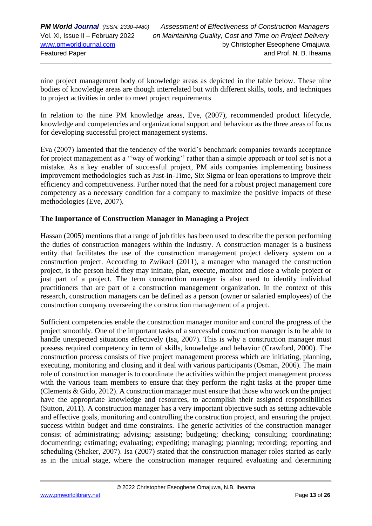nine project management body of knowledge areas as depicted in the table below. These nine bodies of knowledge areas are though interrelated but with different skills, tools, and techniques to project activities in order to meet project requirements

In relation to the nine PM knowledge areas, Eve, (2007), recommended product lifecycle, knowledge and competencies and organizational support and behaviour as the three areas of focus for developing successful project management systems.

Eva (2007) lamented that the tendency of the world's benchmark companies towards acceptance for project management as a ''way of working'' rather than a simple approach or tool set is not a mistake. As a key enabler of successful project, PM aids companies implementing business improvement methodologies such as Just-in-Time, Six Sigma or lean operations to improve their efficiency and competitiveness. Further noted that the need for a robust project management core competency as a necessary condition for a company to maximize the positive impacts of these methodologies (Eve, 2007).

### **The Importance of Construction Manager in Managing a Project**

Hassan (2005) mentions that a range of job titles has been used to describe the person performing the duties of construction managers within the industry. A construction manager is a business entity that facilitates the use of the construction management project delivery system on a construction project. According to Zwikael (2011), a manager who managed the construction project, is the person held they may initiate, plan, execute, monitor and close a whole project or just part of a project. The term construction manager is also used to identify individual practitioners that are part of a construction management organization. In the context of this research, construction managers can be defined as a person (owner or salaried employees) of the construction company overseeing the construction management of a project.

Sufficient competencies enable the construction manager monitor and control the progress of the project smoothly. One of the important tasks of a successful construction manager is to be able to handle unexpected situations effectively (Isa, 2007). This is why a construction manager must possess required competency in term of skills, knowledge and behavior (Crawford, 2000). The construction process consists of five project management process which are initiating, planning, executing, monitoring and closing and it deal with various participants (Osman, 2006). The main role of construction manager is to coordinate the activities within the project management process with the various team members to ensure that they perform the right tasks at the proper time (Clements & Gido, 2012). A construction manager must ensure that those who work on the project have the appropriate knowledge and resources, to accomplish their assigned responsibilities (Sutton, 2011). A construction manager has a very important objective such as setting achievable and effective goals, monitoring and controlling the construction project, and ensuring the project success within budget and time constraints. The generic activities of the construction manager consist of administrating; advising; assisting; budgeting; checking; consulting; coordinating; documenting; estimating; evaluating; expediting; managing; planning; recording; reporting and scheduling (Shaker, 2007). Isa (2007) stated that the construction manager roles started as early as in the initial stage, where the construction manager required evaluating and determining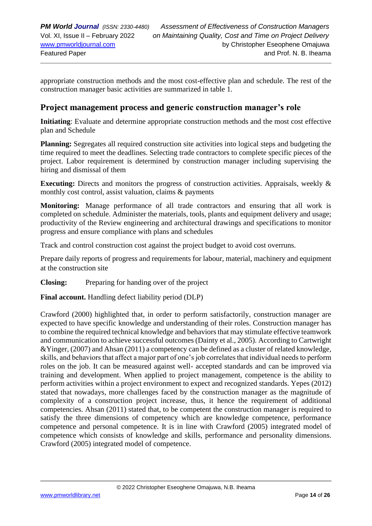appropriate construction methods and the most cost-effective plan and schedule. The rest of the construction manager basic activities are summarized in table 1.

### **Project management process and generic construction manager's role**

**Initiating**: Evaluate and determine appropriate construction methods and the most cost effective plan and Schedule

**Planning:** Segregates all required construction site activities into logical steps and budgeting the time required to meet the deadlines. Selecting trade contractors to complete specific pieces of the project. Labor requirement is determined by construction manager including supervising the hiring and dismissal of them

**Executing:** Directs and monitors the progress of construction activities. Appraisals, weekly & monthly cost control, assist valuation, claims & payments

**Monitoring:** Manage performance of all trade contractors and ensuring that all work is completed on schedule. Administer the materials, tools, plants and equipment delivery and usage; productivity of the Review engineering and architectural drawings and specifications to monitor progress and ensure compliance with plans and schedules

Track and control construction cost against the project budget to avoid cost overruns.

Prepare daily reports of progress and requirements for labour, material, machinery and equipment at the construction site

**Closing:** Preparing for handing over of the project

**Final account.** Handling defect liability period (DLP)

Crawford (2000) highlighted that, in order to perform satisfactorily, construction manager are expected to have specific knowledge and understanding of their roles. Construction manager has to combine the required technical knowledge and behaviors that may stimulate effective teamwork and communication to achieve successful outcomes (Dainty et al., 2005). According to Cartwright &Yinger, (2007) and Ahsan (2011) a competency can be defined as a cluster of related knowledge, skills, and behaviors that affect a major part of one's job correlates that individual needs to perform roles on the job. It can be measured against well- accepted standards and can be improved via training and development. When applied to project management, competence is the ability to perform activities within a project environment to expect and recognized standards. Yepes (2012) stated that nowadays, more challenges faced by the construction manager as the magnitude of complexity of a construction project increase, thus, it hence the requirement of additional competencies. Ahsan (2011) stated that, to be competent the construction manager is required to satisfy the three dimensions of competency which are knowledge competence, performance competence and personal competence. It is in line with Crawford (2005) integrated model of competence which consists of knowledge and skills, performance and personality dimensions. Crawford (2005) integrated model of competence.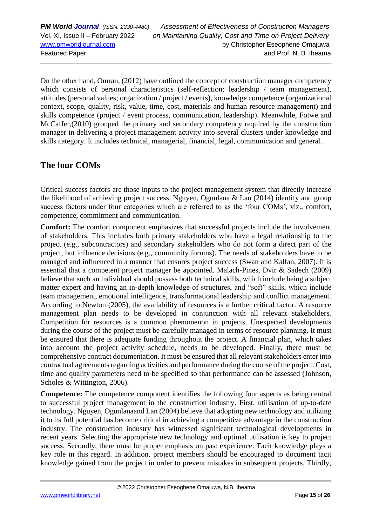*PM World Journal (ISSN: 2330-4480) Assessment of Effectiveness of Construction Managers* Vol. XI, Issue II – February 2022 *on Maintaining Quality, Cost and Time on Project Delivery* [www.pmworldjournal.com](http://www.pmworldjournal.com/) by Christopher Eseophene Omajuwa Featured Paper and Prof. N. B. Iheama

On the other hand, Omran, (2012) have outlined the concept of construction manager competency which consists of personal characteristics (self-reflection; leadership / team management), attitudes (personal values; organization / project / events), knowledge competence (organizational context, scope, quality, risk, value, time, cost, materials and human resource management) and skills competence (project / event process, communication, leadership). Meanwhile, Fotwe and McCaffer,(2010) grouped the primary and secondary competency required by the construction manager in delivering a project management activity into several clusters under knowledge and skills category. It includes technical, managerial, financial, legal, communication and general.

# **The four COMs**

Critical success factors are those inputs to the project management system that directly increase the likelihood of achieving project success. Nguyen, Ogunlana & Lan (2014) identify and group success factors under four categories which are referred to as the 'four COMs', viz., comfort, competence, commitment and communication.

**Comfort:** The comfort component emphasizes that successful projects include the involvement of stakeholders. This includes both primary stakeholders who have a legal relationship to the project (e.g., subcontractors) and secondary stakeholders who do not form a direct part of the project, but influence decisions (e.g., community forums). The needs of stakeholders have to be managed and influenced in a manner that ensures project success (Swan and Kalfan, 2007). It is essential that a competent project manager be appointed. Malach-Pines, Dvir & Sadech (2009) believe that such an individual should possess both technical skills, which include being a subject matter expert and having an in-depth knowledge of structures, and "soft" skills, which include team management, emotional intelligence, transformational leadership and conflict management. According to Newton (2005), the availability of resources is a further critical factor. A resource management plan needs to be developed in conjunction with all relevant stakeholders. Competition for resources is a common phenomenon in projects. Unexpected developments during the course of the project must be carefully managed in terms of resource planning. It must be ensured that there is adequate funding throughout the project. A financial plan, which takes into account the project activity schedule, needs to be developed. Finally, there must be comprehensive contract documentation. It must be ensured that all relevant stakeholders enter into contractual agreements regarding activities and performance during the course of the project. Cost, time and quality parameters need to be specified so that performance can be assessed (Johnson, Scholes & Wittington, 2006).

**Competence:** The competence component identifies the following four aspects as being central to successful project management in the construction industry. First, utilisation of up-to-date technology. Nguyen, Ogunlanaand Lan (2004) believe that adopting new technology and utilizing it to its full potential has become critical in achieving a competitive advantage in the construction industry. The construction industry has witnessed significant technological developments in recent years. Selecting the appropriate new technology and optimal utilisation is key to project success. Secondly, there must be proper emphasis on past experience. Tacit knowledge plays a key role in this regard. In addition, project members should be encouraged to document tacit knowledge gained from the project in order to prevent mistakes in subsequent projects. Thirdly,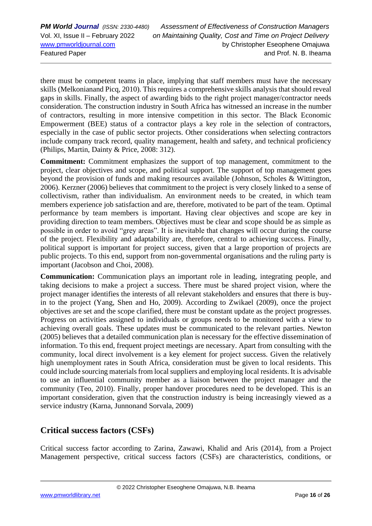there must be competent teams in place, implying that staff members must have the necessary skills (Melkonianand Picq, 2010). This requires a comprehensive skills analysis that should reveal gaps in skills. Finally, the aspect of awarding bids to the right project manager/contractor needs consideration. The construction industry in South Africa has witnessed an increase in the number of contractors, resulting in more intensive competition in this sector. The Black Economic Empowerment (BEE) status of a contractor plays a key role in the selection of contractors, especially in the case of public sector projects. Other considerations when selecting contractors include company track record, quality management, health and safety, and technical proficiency (Philips, Martin, Dainty & Price, 2008: 312).

**Commitment:** Commitment emphasizes the support of top management, commitment to the project, clear objectives and scope, and political support. The support of top management goes beyond the provision of funds and making resources available (Johnson, Scholes & Wittington, 2006). Kerzner (2006) believes that commitment to the project is very closely linked to a sense of collectivism, rather than individualism. An environment needs to be created, in which team members experience job satisfaction and are, therefore, motivated to be part of the team. Optimal performance by team members is important. Having clear objectives and scope are key in providing direction to team members. Objectives must be clear and scope should be as simple as possible in order to avoid "grey areas". It is inevitable that changes will occur during the course of the project. Flexibility and adaptability are, therefore, central to achieving success. Finally, political support is important for project success, given that a large proportion of projects are public projects. To this end, support from non-governmental organisations and the ruling party is important (Jacobson and Choi, 2008).

**Communication:** Communication plays an important role in leading, integrating people, and taking decisions to make a project a success. There must be shared project vision, where the project manager identifies the interests of all relevant stakeholders and ensures that there is buyin to the project (Yang, Shen and Ho, 2009). According to Zwikael (2009), once the project objectives are set and the scope clarified, there must be constant update as the project progresses. Progress on activities assigned to individuals or groups needs to be monitored with a view to achieving overall goals. These updates must be communicated to the relevant parties. Newton (2005) believes that a detailed communication plan is necessary for the effective dissemination of information. To this end, frequent project meetings are necessary. Apart from consulting with the community, local direct involvement is a key element for project success. Given the relatively high unemployment rates in South Africa, consideration must be given to local residents. This could include sourcing materials from local suppliers and employing local residents. It is advisable to use an influential community member as a liaison between the project manager and the community (Teo, 2010). Finally, proper handover procedures need to be developed. This is an important consideration, given that the construction industry is being increasingly viewed as a service industry (Karna, Junnonand Sorvala, 2009)

# **Critical success factors (CSFs)**

Critical success factor according to Zarina, Zawawi, Khalid and Aris (2014), from a Project Management perspective, critical success factors (CSFs) are characteristics, conditions, or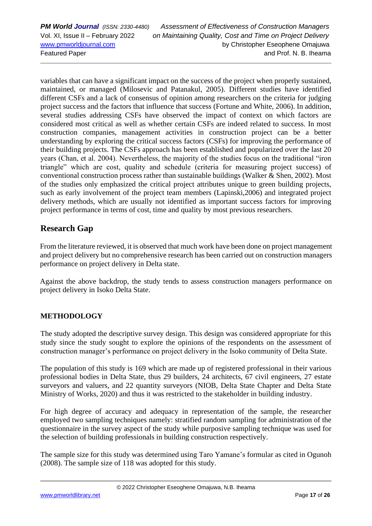*PM World Journal (ISSN: 2330-4480) Assessment of Effectiveness of Construction Managers* Vol. XI, Issue II – February 2022 *on Maintaining Quality, Cost and Time on Project Delivery* [www.pmworldjournal.com](http://www.pmworldjournal.com/) by Christopher Eseophene Omajuwa Featured Paper and Prof. N. B. Iheama

variables that can have a significant impact on the success of the project when properly sustained, maintained, or managed (Milosevic and Patanakul, 2005). Different studies have identified different CSFs and a lack of consensus of opinion among researchers on the criteria for judging project success and the factors that influence that success (Fortune and White, 2006). In addition, several studies addressing CSFs have observed the impact of context on which factors are considered most critical as well as whether certain CSFs are indeed related to success. In most construction companies, management activities in construction project can be a better understanding by exploring the critical success factors (CSFs) for improving the performance of their building projects. The CSFs approach has been established and popularized over the last 20 years (Chan, et al. 2004). Nevertheless, the majority of the studies focus on the traditional "iron triangle" which are cost, quality and schedule (criteria for measuring project success) of conventional construction process rather than sustainable buildings (Walker & Shen, 2002). Most of the studies only emphasized the critical project attributes unique to green building projects, such as early involvement of the project team members (Lapinski,2006) and integrated project delivery methods, which are usually not identified as important success factors for improving project performance in terms of cost, time and quality by most previous researchers.

### **Research Gap**

From the literature reviewed, it is observed that much work have been done on project management and project delivery but no comprehensive research has been carried out on construction managers performance on project delivery in Delta state.

Against the above backdrop, the study tends to assess construction managers performance on project delivery in Isoko Delta State.

### **METHODOLOGY**

The study adopted the descriptive survey design. This design was considered appropriate for this study since the study sought to explore the opinions of the respondents on the assessment of construction manager's performance on project delivery in the Isoko community of Delta State.

The population of this study is 169 which are made up of registered professional in their various professional bodies in Delta State, thus 29 builders, 24 architects, 67 civil engineers, 27 estate surveyors and valuers, and 22 quantity surveyors (NIOB, Delta State Chapter and Delta State Ministry of Works, 2020) and thus it was restricted to the stakeholder in building industry.

For high degree of accuracy and adequacy in representation of the sample, the researcher employed two sampling techniques namely: stratified random sampling for administration of the questionnaire in the survey aspect of the study while purposive sampling technique was used for the selection of building professionals in building construction respectively.

The sample size for this study was determined using Taro Yamane's formular as cited in Ogunoh (2008). The sample size of 118 was adopted for this study.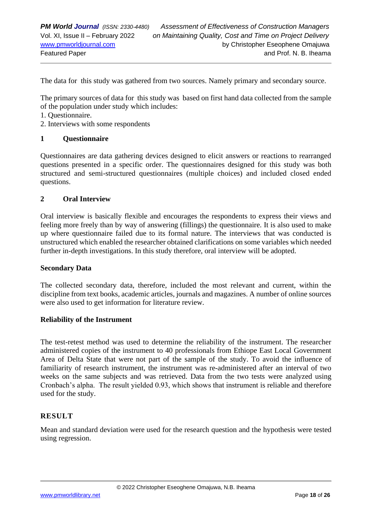The data for this study was gathered from two sources. Namely primary and secondary source.

The primary sources of data for this study was based on first hand data collected from the sample of the population under study which includes:

- 1. Questionnaire.
- 2. Interviews with some respondents

### **1 Questionnaire**

Questionnaires are data gathering devices designed to elicit answers or reactions to rearranged questions presented in a specific order. The questionnaires designed for this study was both structured and semi-structured questionnaires (multiple choices) and included closed ended questions.

### **2 Oral Interview**

Oral interview is basically flexible and encourages the respondents to express their views and feeling more freely than by way of answering (fillings) the questionnaire. It is also used to make up where questionnaire failed due to its formal nature. The interviews that was conducted is unstructured which enabled the researcher obtained clarifications on some variables which needed further in-depth investigations. In this study therefore, oral interview will be adopted.

#### **Secondary Data**

The collected secondary data, therefore, included the most relevant and current, within the discipline from text books, academic articles, journals and magazines. A number of online sources were also used to get information for literature review.

#### **Reliability of the Instrument**

The test-retest method was used to determine the reliability of the instrument. The researcher administered copies of the instrument to 40 professionals from Ethiope East Local Government Area of Delta State that were not part of the sample of the study. To avoid the influence of familiarity of research instrument, the instrument was re-administered after an interval of two weeks on the same subjects and was retrieved. Data from the two tests were analyzed using Cronbach's alpha. The result yielded 0.93, which shows that instrument is reliable and therefore used for the study.

### **RESULT**

Mean and standard deviation were used for the research question and the hypothesis were tested using regression.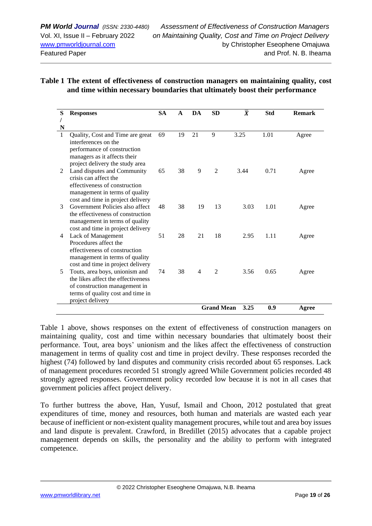### **Table 1 The extent of effectiveness of construction managers on maintaining quality, cost and time within necessary boundaries that ultimately boost their performance**

| S | <b>Responses</b>                                                    | <b>SA</b> | $\mathbf{A}$ | DA             | <b>SD</b>         | $\overline{X}$ | <b>Std</b> | <b>Remark</b> |
|---|---------------------------------------------------------------------|-----------|--------------|----------------|-------------------|----------------|------------|---------------|
|   |                                                                     |           |              |                |                   |                |            |               |
| N |                                                                     |           |              |                |                   |                |            |               |
| 1 | Quality, Cost and Time are great<br>interferences on the            | 69        | 19           | 21             | 9                 | 3.25           | 1.01       | Agree         |
|   | performance of construction                                         |           |              |                |                   |                |            |               |
|   | managers as it affects their                                        |           |              |                |                   |                |            |               |
|   | project delivery the study area                                     |           |              |                |                   |                |            |               |
| 2 | Land disputes and Community                                         | 65        | 38           | 9              | $\mathfrak{D}$    | 3.44           | 0.71       | Agree         |
|   | crisis can affect the                                               |           |              |                |                   |                |            |               |
|   | effectiveness of construction                                       |           |              |                |                   |                |            |               |
|   | management in terms of quality                                      |           |              |                |                   |                |            |               |
|   | cost and time in project delivery                                   |           |              |                |                   |                |            |               |
| 3 | Government Policies also affect                                     | 48        | 38           | 19             | 13                | 3.03           | 1.01       | Agree         |
|   | the effectiveness of construction                                   |           |              |                |                   |                |            |               |
|   | management in terms of quality<br>cost and time in project delivery |           |              |                |                   |                |            |               |
| 4 | Lack of Management                                                  | 51        | 28           | 21             | 18                | 2.95           | 1.11       | Agree         |
|   | Procedures affect the                                               |           |              |                |                   |                |            |               |
|   | effectiveness of construction                                       |           |              |                |                   |                |            |               |
|   | management in terms of quality                                      |           |              |                |                   |                |            |               |
|   | cost and time in project delivery                                   |           |              |                |                   |                |            |               |
| 5 | Touts, area boys, unionism and                                      | 74        | 38           | $\overline{4}$ | 2                 | 3.56           | 0.65       | Agree         |
|   | the likes affect the effectiveness                                  |           |              |                |                   |                |            |               |
|   | of construction management in                                       |           |              |                |                   |                |            |               |
|   | terms of quality cost and time in                                   |           |              |                |                   |                |            |               |
|   | project delivery                                                    |           |              |                |                   |                |            |               |
|   |                                                                     |           |              |                | <b>Grand Mean</b> | 3.25           | 0.9        | Agree         |

Table 1 above, shows responses on the extent of effectiveness of construction managers on maintaining quality, cost and time within necessary boundaries that ultimately boost their performance. Tout, area boys' unionism and the likes affect the effectiveness of construction management in terms of quality cost and time in project devilry. These responses recorded the highest (74) followed by land disputes and community crisis recorded about 65 responses. Lack of management procedures recorded 51 strongly agreed While Government policies recorded 48 strongly agreed responses. Government policy recorded low because it is not in all cases that government policies affect project delivery.

To further buttress the above, Han, Yusuf, Ismail and Choon, 2012 postulated that great expenditures of time, money and resources, both human and materials are wasted each year because of inefficient or non-existent quality management procures, while tout and area boy issues and land dispute is prevalent. Crawford, in Bredillet (2015) advocates that a capable project management depends on skills, the personality and the ability to perform with integrated competence.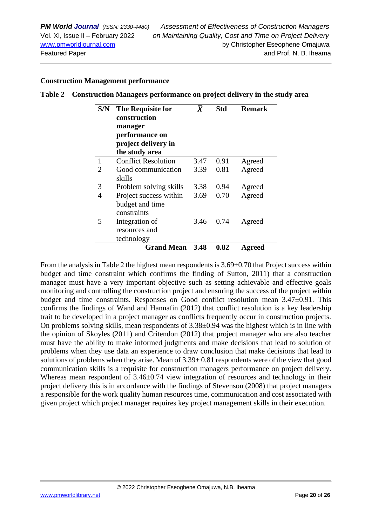#### **Construction Management performance**

| Table 2 Construction Managers performance on project delivery in the study area |
|---------------------------------------------------------------------------------|
|                                                                                 |

| S/N                         | <b>The Requisite for</b><br>construction<br>manager<br>performance on<br>project delivery in<br>the study area | $\overline{X}$ | <b>Std</b> | <b>Remark</b> |
|-----------------------------|----------------------------------------------------------------------------------------------------------------|----------------|------------|---------------|
| 1                           | <b>Conflict Resolution</b>                                                                                     | 3.47           | 0.91       | Agreed        |
| $\mathcal{D}_{\mathcal{L}}$ | Good communication                                                                                             | 3.39           | 0.81       | Agreed        |
|                             | skills                                                                                                         |                |            |               |
| 3                           | Problem solving skills                                                                                         | 3.38           | 0.94       | Agreed        |
| 4                           | Project success within                                                                                         | 3.69           | 0.70       | Agreed        |
|                             | budget and time<br>constraints                                                                                 |                |            |               |
| 5                           | Integration of                                                                                                 | 3.46           | 0.74       | Agreed        |
|                             | resources and                                                                                                  |                |            |               |
|                             | technology                                                                                                     |                |            |               |
|                             | <b>Grand Mean</b>                                                                                              | 3.48           | 0.82       | Agreed        |

From the analysis in Table 2 the highest mean respondents is  $3.69\pm0.70$  that Project success within budget and time constraint which confirms the finding of Sutton, 2011) that a construction manager must have a very important objective such as setting achievable and effective goals monitoring and controlling the construction project and ensuring the success of the project within budget and time constraints. Responses on Good conflict resolution mean 3.47±0.91. This confirms the findings of Wand and Hannafin (2012) that conflict resolution is a key leadership trait to be developed in a project manager as conflicts frequently occur in construction projects. On problems solving skills, mean respondents of 3.38±0.94 was the highest which is in line with the opinion of Skoyles (2011) and Critendon (2012) that project manager who are also teacher must have the ability to make informed judgments and make decisions that lead to solution of problems when they use data an experience to draw conclusion that make decisions that lead to solutions of problems when they arise. Mean of  $3.39 \pm 0.81$  respondents were of the view that good communication skills is a requisite for construction managers performance on project delivery. Whereas mean respondent of 3.46±0.74 view integration of resources and technology in their project delivery this is in accordance with the findings of Stevenson (2008) that project managers a responsible for the work quality human resources time, communication and cost associated with given project which project manager requires key project management skills in their execution.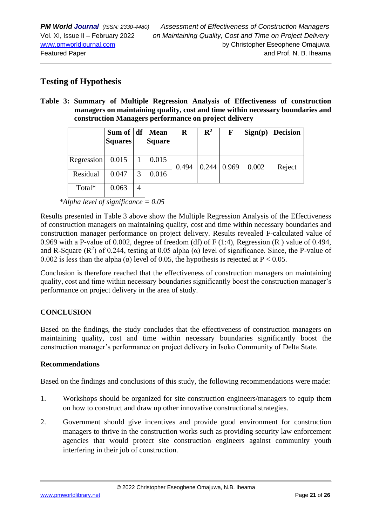### **Testing of Hypothesis**

**Table 3: Summary of Multiple Regression Analysis of Effectiveness of construction managers on maintaining quality, cost and time within necessary boundaries and construction Managers performance on project delivery**

|            | Sum of $ df $<br><b>Squares</b> |                | <b>Mean</b><br><b>Square</b> | R     | $\mathbf{R}^2$ | F     |       | Sign(p)   Decision |
|------------|---------------------------------|----------------|------------------------------|-------|----------------|-------|-------|--------------------|
| Regression | 0.015                           |                | 0.015                        | 0.494 | 0.244          | 0.969 | 0.002 | Reject             |
| Residual   | 0.047                           | 3              | 0.016                        |       |                |       |       |                    |
| Total*     | 0.063                           | $\overline{4}$ |                              |       |                |       |       |                    |

*\*Alpha level of significance = 0.05*

Results presented in Table 3 above show the Multiple Regression Analysis of the Effectiveness of construction managers on maintaining quality, cost and time within necessary boundaries and construction manager performance on project delivery. Results revealed F-calculated value of 0.969 with a P-value of 0.002, degree of freedom (df) of F (1:4), Regression (R ) value of 0.494, and R-Square ( $\mathbb{R}^2$ ) of 0.244, testing at 0.05 alpha ( $\alpha$ ) level of significance. Since, the P-value of 0.002 is less than the alpha ( $\alpha$ ) level of 0.05, the hypothesis is rejected at P < 0.05.

Conclusion is therefore reached that the effectiveness of construction managers on maintaining quality, cost and time within necessary boundaries significantly boost the construction manager's performance on project delivery in the area of study.

### **CONCLUSION**

Based on the findings, the study concludes that the effectiveness of construction managers on maintaining quality, cost and time within necessary boundaries significantly boost the construction manager's performance on project delivery in Isoko Community of Delta State.

### **Recommendations**

Based on the findings and conclusions of this study, the following recommendations were made:

- 1. Workshops should be organized for site construction engineers/managers to equip them on how to construct and draw up other innovative constructional strategies.
- 2. Government should give incentives and provide good environment for construction managers to thrive in the construction works such as providing security law enforcement agencies that would protect site construction engineers against community youth interfering in their job of construction.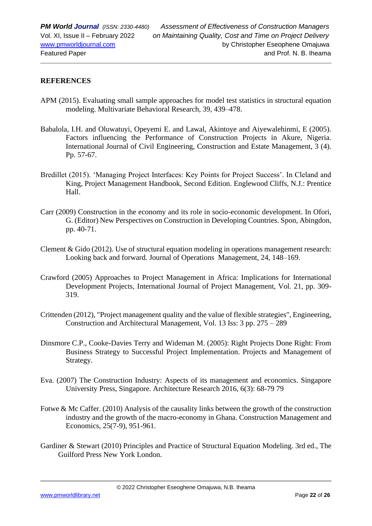### **REFERENCES**

- APM (2015). Evaluating small sample approaches for model test statistics in structural equation modeling. Multivariate Behavioral Research, 39, 439–478.
- Babalola, I.H. and Oluwatuyi, Opeyemi E. and Lawal, Akintoye and Aiyewalehinmi, E (2005). Factors influencing the Performance of Construction Projects in Akure, Nigeria. International Journal of Civil Engineering, Construction and Estate Management, 3 (4). Pp. 57-67.
- Bredillet (2015). 'Managing Project Interfaces: Key Points for Project Success'. In Cleland and King, Project Management Handbook, Second Edition. Englewood Cliffs, N.J.: Prentice Hall.
- Carr (2009) Construction in the economy and its role in socio-economic development. In Ofori, G. (Editor) New Perspectives on Construction in Developing Countries. Spon, Abingdon, pp. 40-71.
- Clement & Gido (2012). Use of structural equation modeling in operations management research: Looking back and forward. Journal of Operations Management, 24, 148–169.
- Crawford (2005) Approaches to Project Management in Africa: Implications for International Development Projects, International Journal of Project Management, Vol. 21, pp. 309- 319.
- Crittenden (2012), "Project management quality and the value of flexible strategies", Engineering, Construction and Architectural Management, Vol. 13 Iss: 3 pp. 275 – 289
- Dinsmore C.P., Cooke-Davies Terry and Wideman M. (2005): Right Projects Done Right: From Business Strategy to Successful Project Implementation. Projects and Management of Strategy.
- Eva. (2007) The Construction Industry: Aspects of its management and economics. Singapore University Press, Singapore. Architecture Research 2016, 6(3): 68-79 79
- Fotwe & Mc Caffer. (2010) Analysis of the causality links between the growth of the construction industry and the growth of the macro-economy in Ghana. Construction Management and Economics, 25(7-9), 951-961.
- Gardiner & Stewart (2010) Principles and Practice of Structural Equation Modeling. 3rd ed., The Guilford Press New York London.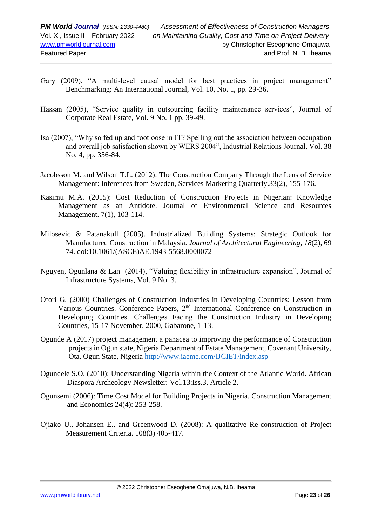- Gary (2009). "A multi-level causal model for best practices in project management" Benchmarking: An International Journal, Vol. 10, No. 1, pp. 29-36.
- Hassan (2005), "Service quality in outsourcing facility maintenance services", Journal of Corporate Real Estate, Vol. 9 No. 1 pp. 39-49.
- Isa (2007), "Why so fed up and footloose in IT? Spelling out the association between occupation and overall job satisfaction shown by WERS 2004", Industrial Relations Journal, Vol. 38 No. 4, pp. 356-84.
- Jacobsson M. and Wilson T.L. (2012): The Construction Company Through the Lens of Service Management: Inferences from Sweden, Services Marketing Quarterly.33(2), 155-176.
- Kasimu M.A. (2015): Cost Reduction of Construction Projects in Nigerian: Knowledge Management as an Antidote. Journal of Environmental Science and Resources Management. 7(1), 103-114.
- Milosevic & Patanakull (2005). Industrialized Building Systems: Strategic Outlook for Manufactured Construction in Malaysia. *Journal of Architectural Engineering*, *18*(2), 69 74. doi:10.1061/(ASCE)AE.1943-5568.0000072
- Nguyen, Ogunlana & Lan (2014), "Valuing flexibility in infrastructure expansion", Journal of Infrastructure Systems, Vol. 9 No. 3.
- Ofori G. (2000) Challenges of Construction Industries in Developing Countries: Lesson from Various Countries. Conference Papers, 2nd International Conference on Construction in Developing Countries. Challenges Facing the Construction Industry in Developing Countries, 15-17 November, 2000, Gabarone, 1-13.
- Ogunde A (2017) project management a panacea to improving the performance of Construction projects in Ogun state, Nigeria Department of Estate Management, Covenant University, Ota, Ogun State, Nigeria<http://www.iaeme.com/IJCIET/index.asp>
- Ogundele S.O. (2010): Understanding Nigeria within the Context of the Atlantic World. African Diaspora Archeology Newsletter: Vol.13:Iss.3, Article 2.
- Ogunsemi (2006): Time Cost Model for Building Projects in Nigeria. Construction Management and Economics 24(4): 253-258.
- Ojiako U., Johansen E., and Greenwood D. (2008): A qualitative Re-construction of Project Measurement Criteria. 108(3) 405-417.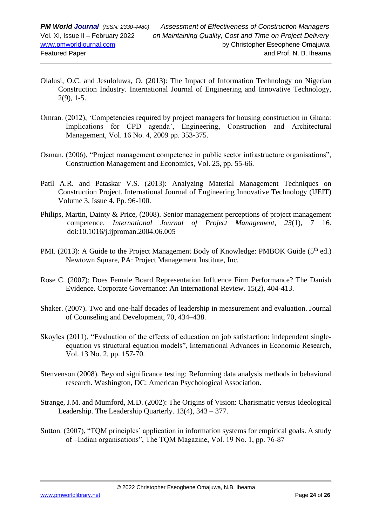- Olalusi, O.C. and Jesuloluwa, O. (2013): The Impact of Information Technology on Nigerian Construction Industry. International Journal of Engineering and Innovative Technology, 2(9), 1-5.
- Omran. (2012), 'Competencies required by project managers for housing construction in Ghana: Implications for CPD agenda', Engineering, Construction and Architectural Management, Vol. 16 No. 4, 2009 pp. 353-375.
- Osman. (2006), "Project management competence in public sector infrastructure organisations", Construction Management and Economics, Vol. 25, pp. 55-66.
- Patil A.R. and Pataskar V.S. (2013): Analyzing Material Management Techniques on Construction Project. International Journal of Engineering Innovative Technology (IJEIT) Volume 3, Issue 4. Pp. 96-100.
- Philips, Martin, Dainty & Price, (2008). Senior management perceptions of project management competence. *International Journal of Project Management*, *23*(1), 7 16. doi:10.1016/j.ijproman.2004.06.005
- PMI. (2013): A Guide to the Project Management Body of Knowledge: PMBOK Guide ( $5<sup>th</sup>$  ed.) Newtown Square, PA: Project Management Institute, Inc.
- Rose C. (2007): Does Female Board Representation Influence Firm Performance? The Danish Evidence. Corporate Governance: An International Review. 15(2), 404-413.
- Shaker. (2007). Two and one-half decades of leadership in measurement and evaluation. Journal of Counseling and Development, 70, 434–438.
- Skoyles (2011), "Evaluation of the effects of education on job satisfaction: independent singleequation vs structural equation models", International Advances in Economic Research, Vol. 13 No. 2, pp. 157-70.
- Stenvenson (2008). Beyond significance testing: Reforming data analysis methods in behavioral research. Washington, DC: American Psychological Association.
- Strange, J.M. and Mumford, M.D. (2002): The Origins of Vision: Charismatic versus Ideological Leadership. The Leadership Quarterly. 13(4), 343 – 377.
- Sutton. (2007), "TQM principles` application in information systems for empirical goals. A study of –Indian organisations", The TQM Magazine, Vol. 19 No. 1, pp. 76-87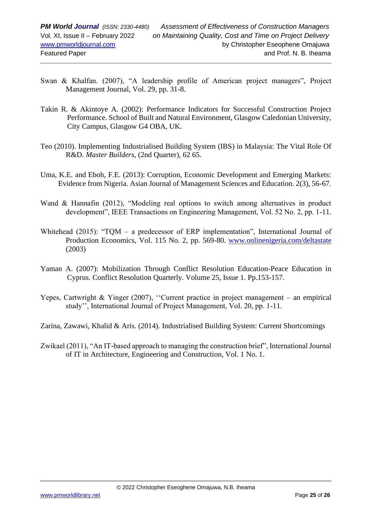- Swan & Khalfan. (2007), "A leadership profile of American project managers", Project Management Journal, Vol. 29, pp. 31-8.
- Takin R. & Akintoye A. (2002): Performance Indicators for Successful Construction Project Performance. School of Built and Natural Environment, Glasgow Caledonian University, City Campus, Glasgow G4 OBA, UK.
- Teo (2010). Implementing Industrialised Building System (IBS) in Malaysia: The Vital Role Of R&D. *Master Builders*, (2nd Quarter), 62 65.
- Uma, K.E. and Eboh, F.E. (2013): Corruption, Economic Development and Emerging Markets: Evidence from Nigeria. Asian Journal of Management Sciences and Education. 2(3), 56-67.
- Wand & Hannafin (2012), "Modeling real options to switch among alternatives in product development", IEEE Transactions on Engineering Management, Vol. 52 No. 2, pp. 1-11.
- Whitehead (2015): "TQM a predecessor of ERP implementation", International Journal of Production Economics, Vol. 115 No. 2, pp. 569-80. [www.onlinenigeria.com/deltastate](http://www.onlinenigeria.com/deltastate)  (2003)
- Yaman A. (2007): Mobilization Through Conflict Resolution Education-Peace Education in Cyprus. Conflict Resolution Quarterly. Volume 25, Issue 1. Pp.153-157.
- Yepes, Cartwright & Yinger (2007), ''Current practice in project management an empirical study'', International Journal of Project Management, Vol. 20, pp. 1-11.
- Zarina, Zawawi, Khalid & Aris. (2014). Industrialised Building System: Current Shortcomings
- Zwikael (2011), "An IT-based approach to managing the construction brief", International Journal of IT in Architecture, Engineering and Construction, Vol. 1 No. 1.